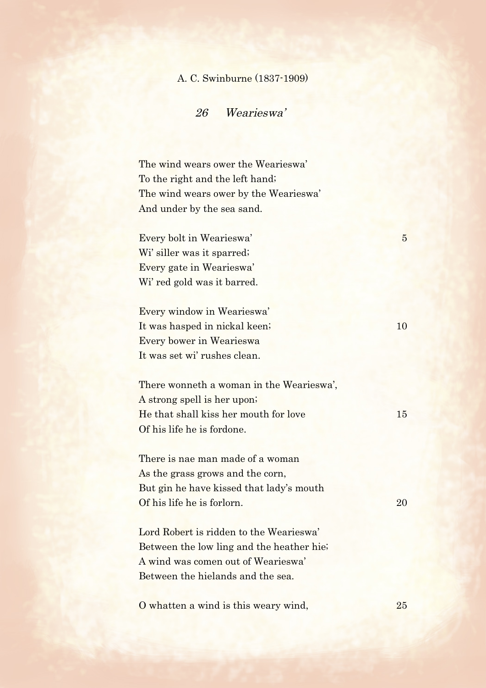## A. C. Swinburne (1837-1909)

26 Wearieswa'

The wind wears ower the Wearieswa' To the right and the left hand; The wind wears ower by the Wearieswa' And under by the sea sand.

Every bolt in Wearieswa' 5 Wi' siller was it sparred; Every gate in Wearieswa' Wi' red gold was it barred.

Every window in Wearieswa' It was hasped in nickal keen; 10 Every bower in Wearieswa It was set wi' rushes clean.

There wonneth a woman in the Wearieswa', A strong spell is her upon; He that shall kiss her mouth for love 15 Of his life he is fordone.

There is nae man made of a woman As the grass grows and the corn, But gin he have kissed that lady's mouth Of his life he is forlorn. 20

Lord Robert is ridden to the Wearieswa' Between the low ling and the heather hie; A wind was comen out of Wearieswa' Between the hielands and the sea.

O whatten a wind is this weary wind, 25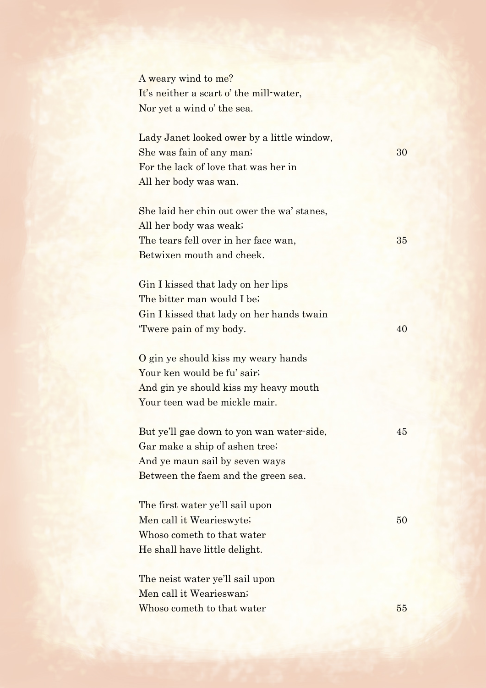A weary wind to me? It's neither a scart o' the mill-water, Nor yet a wind o' the sea.

Lady Janet looked ower by a little window, She was fain of any man; 30 For the lack of love that was her in All her body was wan.

She laid her chin out ower the wa' stanes, All her body was weak; The tears fell over in her face wan, 35 Betwixen mouth and cheek.

Gin I kissed that lady on her lips The bitter man would I be; Gin I kissed that lady on her hands twain 'Twere pain of my body. 40

O gin ye should kiss my weary hands Your ken would be fu' sair; And gin ye should kiss my heavy mouth Your teen wad be mickle mair.

But ye'll gae down to yon wan water-side,  $45$ Gar make a ship of ashen tree; And ye maun sail by seven ways Between the faem and the green sea.

The first water ye'll sail upon Men call it Wearieswyte; 50 Whoso cometh to that water He shall have little delight.

The neist water ye'll sail upon Men call it Wearieswan; Whoso cometh to that water 55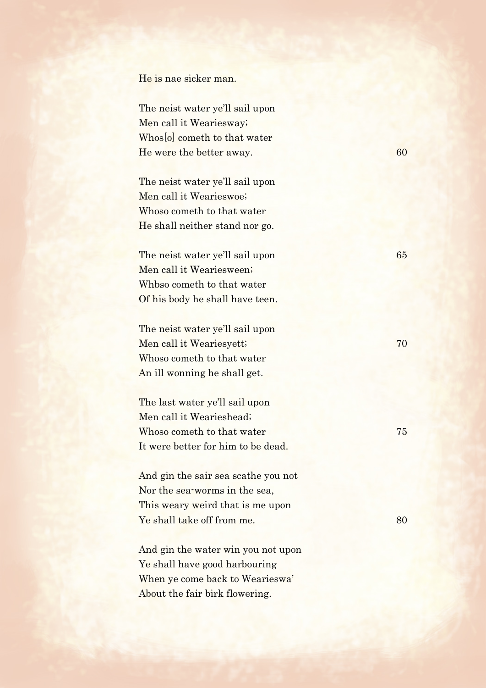He is nae sicker man.

The neist water ye'll sail upon Men call it Weariesway; Whos[o] cometh to that water He were the better away. 60

The neist water ye'll sail upon Men call it Wearieswoe; Whoso cometh to that water He shall neither stand nor go.

The neist water ye'll sail upon 65 Men call it Weariesween; Whbso cometh to that water Of his body he shall have teen.

The neist water ye'll sail upon Men call it Weariesyett; 70 Whoso cometh to that water An ill wonning he shall get.

The last water ye'll sail upon Men call it Wearieshead; Whoso cometh to that water 75 It were better for him to be dead.

And gin the sair sea scathe you not Nor the sea-worms in the sea, This weary weird that is me upon Ye shall take off from me. 80

And gin the water win you not upon Ye shall have good harbouring When ye come back to Wearieswa' About the fair birk flowering.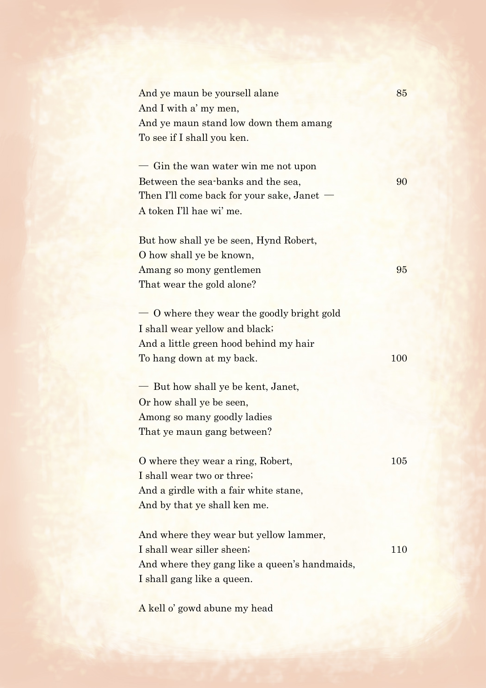| And ye maun be yoursell alane                 | 85  |
|-----------------------------------------------|-----|
| And I with a' my men,                         |     |
| And ye maun stand low down them amang         |     |
| To see if I shall you ken.                    |     |
|                                               |     |
| Gin the wan water win me not upon             |     |
| Between the sea-banks and the sea,            | 90  |
| Then I'll come back for your sake, Janet      |     |
| A token I'll hae wi' me.                      |     |
| But how shall ye be seen, Hynd Robert,        |     |
| O how shall ye be known,                      |     |
| Amang so mony gentlemen                       | 95  |
| That wear the gold alone?                     |     |
|                                               |     |
| O where they wear the goodly bright gold      |     |
| I shall wear yellow and black;                |     |
| And a little green hood behind my hair        |     |
| To hang down at my back.                      | 100 |
|                                               |     |
| But how shall ye be kent, Janet,              |     |
| Or how shall ye be seen,                      |     |
| Among so many goodly ladies                   |     |
| That ye maun gang between?                    |     |
| O where they wear a ring, Robert,             | 105 |
| I shall wear two or three;                    |     |
| And a girdle with a fair white stane,         |     |
|                                               |     |
| And by that ye shall ken me.                  |     |
| And where they wear but yellow lammer,        |     |
| I shall wear siller sheen;                    | 110 |
| And where they gang like a queen's handmaids, |     |
| I shall gang like a queen.                    |     |
|                                               |     |

A kell o' gowd abune my head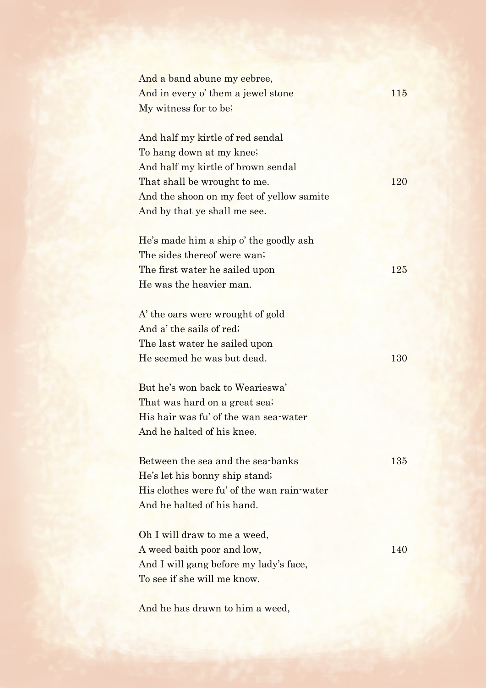| And a band abune my eebree,<br>And in every o' them a jewel stone<br>My witness for to be.                                                                                                                      | 115 |
|-----------------------------------------------------------------------------------------------------------------------------------------------------------------------------------------------------------------|-----|
| And half my kirtle of red sendal<br>To hang down at my knee;<br>And half my kirtle of brown sendal<br>That shall be wrought to me.<br>And the shoon on my feet of yellow samite<br>And by that ye shall me see. | 120 |
| He's made him a ship o' the goodly ash<br>The sides thereof were wan?<br>The first water he sailed upon<br>He was the heavier man.                                                                              | 125 |
| A' the oars were wrought of gold<br>And a' the sails of red;<br>The last water he sailed upon<br>He seemed he was but dead.                                                                                     | 130 |
| But he's won back to Wearieswa'<br>That was hard on a great sea;<br>His hair was fu' of the wan sea-water<br>And he halted of his knee                                                                          |     |
| Between the sea and the sea-banks<br>He's let his bonny ship stand;<br>His clothes were fu' of the wan rain-water<br>And he halted of his hand.                                                                 | 135 |
| Oh I will draw to me a weed,<br>A weed baith poor and low,<br>And I will gang before my lady's face,<br>To see if she will me know.                                                                             | 140 |
|                                                                                                                                                                                                                 |     |

And he has drawn to him a weed,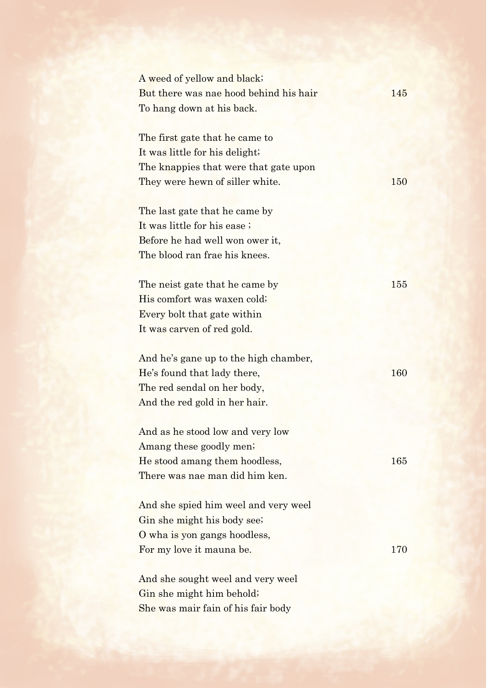| A weed of yellow and black;            |     |
|----------------------------------------|-----|
| But there was nae hood behind his hair | 145 |
| To hang down at his back.              |     |
|                                        |     |
| The first gate that he came to         |     |
| It was little for his delight;         |     |
| The knappies that were that gate upon  |     |
| They were hewn of siller white.        | 150 |
| The last gate that he came by          |     |
| It was little for his ease;            |     |
| Before he had well won ower it,        |     |
| The blood ran frae his knees.          |     |
|                                        |     |
| The neist gate that he came by         | 155 |
| His comfort was waxen cold;            |     |
| Every bolt that gate within            |     |
| It was carven of red gold.             |     |
|                                        |     |
| And he's gane up to the high chamber,  |     |
| He's found that lady there,            | 160 |
| The red sendal on her body,            |     |
| And the red gold in her hair.          |     |
| And as he stood low and very low       |     |
| Amang these goodly men;                |     |
| He stood amang them hoodless,          | 165 |
| There was nae man did him ken.         |     |
|                                        |     |
| And she spied him weel and very weel   |     |
| Gin she might his body see;            |     |
| O wha is yon gangs hoodless,           |     |
| For my love it mauna be.               | 170 |
| And she sought weel and very weel      |     |
| Gin she might him behold;              |     |
| She was mair fain of his fair body     |     |
|                                        |     |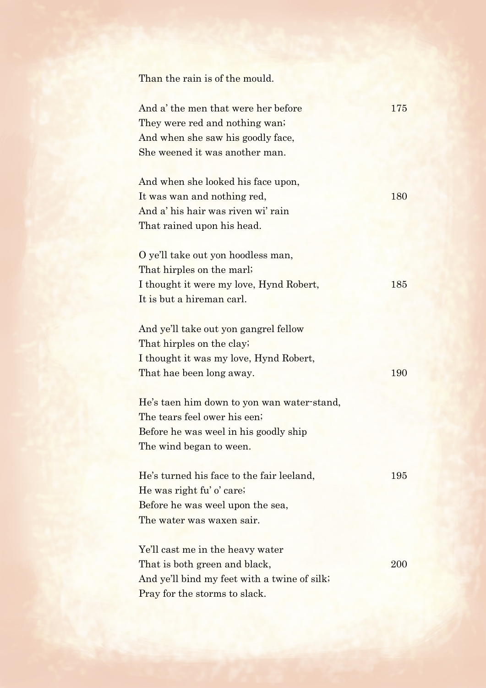Than the rain is of the mould.

| And a' the men that were her before          | 175 |
|----------------------------------------------|-----|
| They were red and nothing wan?               |     |
| And when she saw his goodly face,            |     |
| She weened it was another man.               |     |
|                                              |     |
| And when she looked his face upon,           |     |
| It was wan and nothing red,                  | 180 |
| And a' his hair was riven wi' rain           |     |
| That rained upon his head.                   |     |
|                                              |     |
| O ye'll take out yon hoodless man,           |     |
| That hirples on the marl;                    |     |
| I thought it were my love, Hynd Robert,      | 185 |
| It is but a hireman carl.                    |     |
|                                              |     |
| And ye'll take out yon gangrel fellow        |     |
| That hirples on the clay;                    |     |
| I thought it was my love, Hynd Robert,       |     |
| That hae been long away.                     | 190 |
| He's taen him down to yon wan water-stand,   |     |
| The tears feel ower his een;                 |     |
| Before he was weel in his goodly ship        |     |
| The wind began to ween.                      |     |
|                                              |     |
| He's turned his face to the fair leeland,    | 195 |
| He was right fu' o' care;                    |     |
| Before he was weel upon the sea,             |     |
| The water was waxen sair.                    |     |
|                                              |     |
| Ye'll cast me in the heavy water             |     |
| That is both green and black,                | 200 |
| And ye'll bind my feet with a twine of silk; |     |
|                                              |     |

Pray for the storms to slack.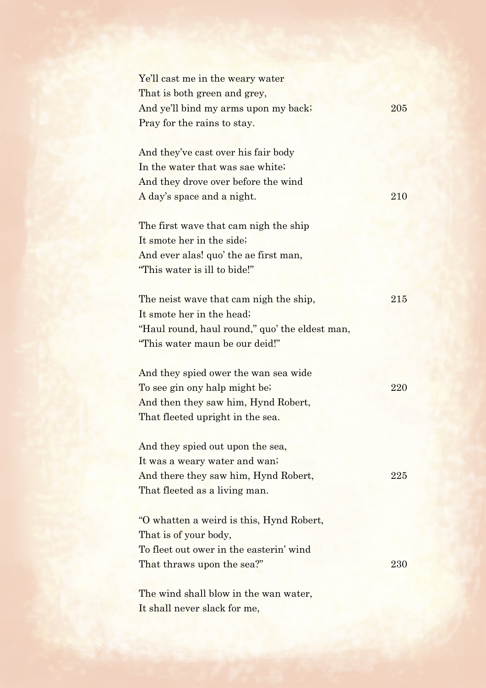| Ye'll cast me in the weary water               |     |
|------------------------------------------------|-----|
| That is both green and grey,                   |     |
| And ye'll bind my arms upon my back;           | 205 |
| Pray for the rains to stay.                    |     |
|                                                |     |
| And they've cast over his fair body            |     |
| In the water that was sae white;               |     |
| And they drove over before the wind            |     |
| A day's space and a night.                     | 210 |
|                                                |     |
| The first wave that cam nigh the ship          |     |
| It smote her in the side;                      |     |
| And ever alas! quo' the ae first man,          |     |
| "This water is ill to bide!"                   |     |
|                                                |     |
| The neist wave that cam nigh the ship,         | 215 |
| It smote her in the head;                      |     |
| "Haul round, haul round," quo' the eldest man, |     |
| "This water maun be our deid!"                 |     |
|                                                |     |
| And they spied ower the wan sea wide           |     |
| To see gin ony halp might be;                  | 220 |
| And then they saw him, Hynd Robert,            |     |
| That fleeted upright in the sea.               |     |
|                                                |     |
| And they spied out upon the sea,               |     |
| It was a weary water and wan;                  |     |
| And there they saw him, Hynd Robert,           | 225 |
| That fleeted as a living man.                  |     |
|                                                |     |
| "O whatten a weird is this, Hynd Robert,       |     |
| That is of your body,                          |     |
| To fleet out ower in the easterin' wind        |     |
| That thraws upon the sea?"                     | 230 |
|                                                |     |
| The wind shall blow in the wan water,          |     |
|                                                |     |

It shall never slack for me,